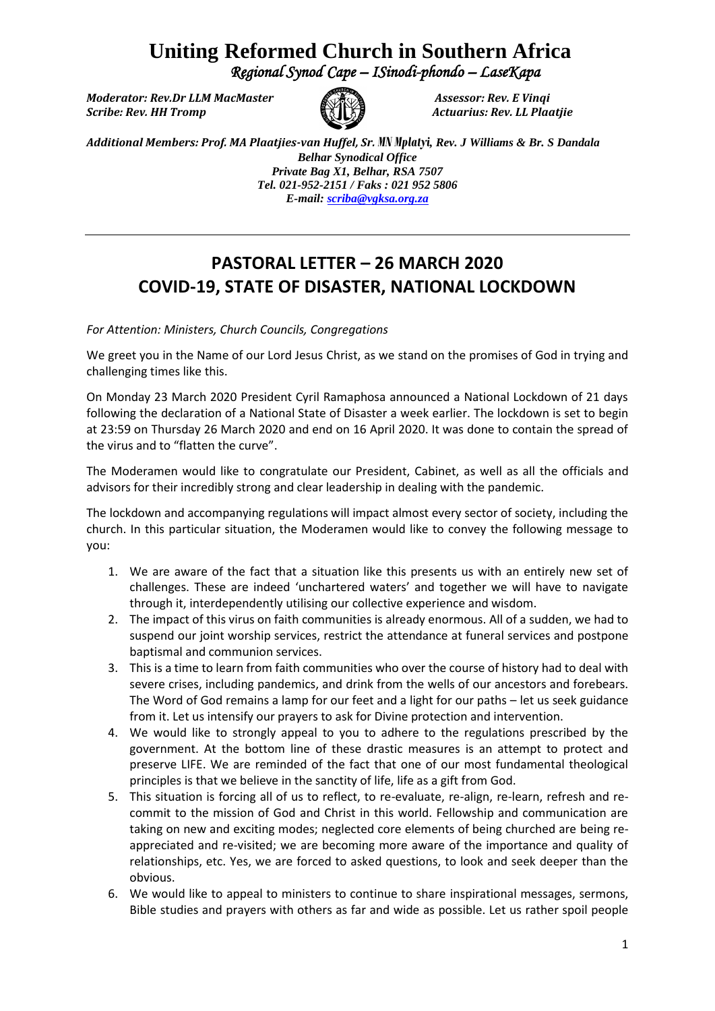## **Uniting Reformed Church in Southern Africa**

 *Regional Synod Cape – ISinodi-phondo – LaseKapa* 

*Moderator: Rev.Dr LLM MacMaster Assessor: Rev. E Vinqi Scribe: Rev. HH Tromp Actuarius: Rev. LL Plaatjie*



*Additional Members: Prof. MA Plaatjies-van Huffel, Sr. MN Mplatyi, Rev. J Williams & Br. S Dandala Belhar Synodical Office Private Bag X1, Belhar, RSA 7507 Tel. 021-952-2151 / Faks : 021 952 5806 E-mail[: scriba@vgksa.org.za](mailto:scriba@vgksa.org.za)*

## **PASTORAL LETTER – 26 MARCH 2020 COVID-19, STATE OF DISASTER, NATIONAL LOCKDOWN**

*For Attention: Ministers, Church Councils, Congregations*

We greet you in the Name of our Lord Jesus Christ, as we stand on the promises of God in trying and challenging times like this.

On Monday 23 March 2020 President Cyril Ramaphosa announced a National Lockdown of 21 days following the declaration of a National State of Disaster a week earlier. The lockdown is set to begin at 23:59 on Thursday 26 March 2020 and end on 16 April 2020. It was done to contain the spread of the virus and to "flatten the curve".

The Moderamen would like to congratulate our President, Cabinet, as well as all the officials and advisors for their incredibly strong and clear leadership in dealing with the pandemic.

The lockdown and accompanying regulations will impact almost every sector of society, including the church. In this particular situation, the Moderamen would like to convey the following message to you:

- 1. We are aware of the fact that a situation like this presents us with an entirely new set of challenges. These are indeed 'unchartered waters' and together we will have to navigate through it, interdependently utilising our collective experience and wisdom.
- 2. The impact of this virus on faith communities is already enormous. All of a sudden, we had to suspend our joint worship services, restrict the attendance at funeral services and postpone baptismal and communion services.
- 3. This is a time to learn from faith communities who over the course of history had to deal with severe crises, including pandemics, and drink from the wells of our ancestors and forebears. The Word of God remains a lamp for our feet and a light for our paths – let us seek guidance from it. Let us intensify our prayers to ask for Divine protection and intervention.
- 4. We would like to strongly appeal to you to adhere to the regulations prescribed by the government. At the bottom line of these drastic measures is an attempt to protect and preserve LIFE. We are reminded of the fact that one of our most fundamental theological principles is that we believe in the sanctity of life, life as a gift from God.
- 5. This situation is forcing all of us to reflect, to re-evaluate, re-align, re-learn, refresh and recommit to the mission of God and Christ in this world. Fellowship and communication are taking on new and exciting modes; neglected core elements of being churched are being reappreciated and re-visited; we are becoming more aware of the importance and quality of relationships, etc. Yes, we are forced to asked questions, to look and seek deeper than the obvious.
- 6. We would like to appeal to ministers to continue to share inspirational messages, sermons, Bible studies and prayers with others as far and wide as possible. Let us rather spoil people